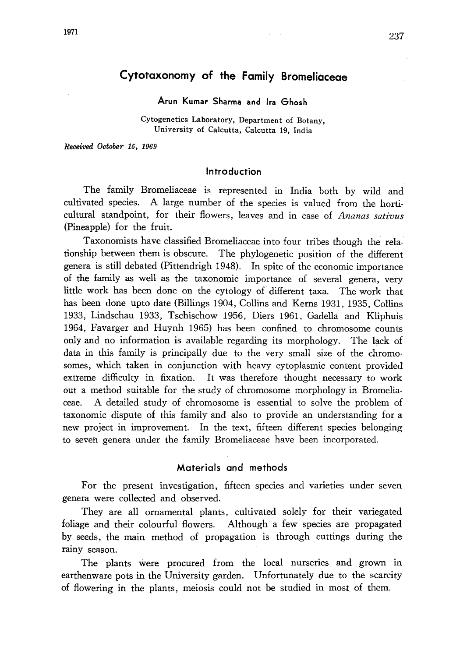1971

# Cytotaxonomy of the Family Bromeliaceae

Arun Kumar Sharma and Ira Ghosh

Cytogenetics Laboratory, Department of Botany, University of Calcutta, Calcutta 19, India

Received October 15, 1969

#### Introduction

The family Bromeliaceae is represented in India both by wild and cultivated species. A large number of the species is valued from the horti cultural standpoint, for their flowers, leaves and in case of Ananas sativus (Pineapple) for the fruit.

Taxonomists have classified Bromeliaceae into four tribes though the rela tionship between them is obscure. The phylogenetic position of the different genera is still debated (Pittendrigh 1948). In spite of the economic importance of the family as well as the taxonomic importance of several genera, very little work has been done on the cytology of different taxa. The work that has been done upto date (Billings 1904, Collins and Kerns 1931, 1935, Collins 1933, Lindschau 1933, Tschischow 1956, Diers 1961, Gadella and Kliphuis 1964, Favarger and Huynh 1965) has been confined to chromosome counts only and no information is available regarding its morphology. The lack of data in this family is principally due to the very small size of the chromo somes, which taken in conjunction with heavy cytoplasmic content provided extreme difficulty in fixation. It was therefore thought necessary to work out a method suitable for the study of chromosome morphology in Bromelia ceae. A detailed study of chromosome is essential to solve the problem of taxonomic dispute of this family and also to provide an understanding for a new project in improvement. In the text, fifteen different species belonging to seven genera under the family Bromeliaceae have been incorporated.

#### Materials and methods

For the present investigation, fifteen species and varieties under seven genera were collected and observed.

They are all ornamental plants, cultivated solely for their variegated foliage and their colourful flowers. Although a few species are propagated by seeds, the main method of propagation is through cuttings during the rainy season.

The plants were procured from the local nurseries and grown in earthenware pots in the University garden. Unfortunately due to the scarcity of flowering in the plants, meiosis could not be studied in most of them.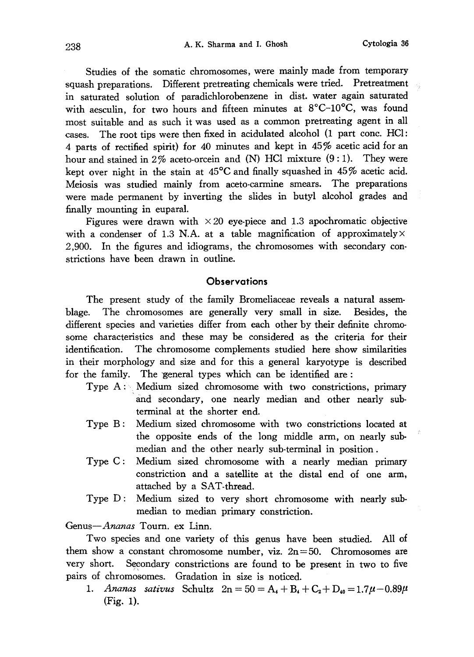Studies of the somatic chromosomes, were mainly made from temporary squash preparations. Different pretreating chemicals were tried. Pretreatment in saturated solution of paradichlorobenzene in dist. water again saturated with aesculin, for two hours and fifteen minutes at  $8^{\circ}$ C-10 $^{\circ}$ C, was found most suitable and as such it was used as a common pretreating agent in all cases. The root tips were then fixed in acidulated alcohol (1 part conc. HCl: 4 parts of rectified spirit) for 40 minutes and kept in 45% acetic acid for an hour and stained in 2% aceto-orcein and  $(N)$  HCl mixture  $(9:1)$ . They were kept over night in the stain at  $45^{\circ}$ C and finally squashed in  $45\%$  acetic acid. Meiosis was studied mainly from aceto-carmine smears. The preparations were made permanent by inverting the slides in butyl alcohol grades and finally mounting in euparal.

Figures were drawn with  $\times 20$  eye-piece and 1.3 apochromatic objective with a condenser of 1.3 N.A. at a table magnification of approximately  $\times$ 2,900. In the figures and idiograms, the chromosomes with secondary con strictions have been drawn in outline.

### **Observations**

The present study of the family Bromeliaceae reveals a natural assem blage. The chromosomes are generally very small in size. Besides, the different species and varieties differ from each other by their definite chromo some characteristics and these may be considered as the criteria for their identification. The chromosome complements studied here show similarities in their morphology and size and for this a general karyotype is described for the family. The general types which can be identified are:

- Type A: Medium sized chromosome with two constrictions, primary and secondary, one nearly median and other nearly sub terminal at the shorter end.
- Type B: Medium sized chromosome with two constrictions located at the opposite ends of the long middle arm, on nearly sub median and the other nearly sub-terminal in position.
- Type C: Medium sized chromosome with a nearly median primary constriction and a satellite at the distal end of one arm, attached by a SAT-thread.
- Type D: Medium sized to very short chromosome with nearly sub median to median primary constriction.

Genus-Ananas Tourn. ex Linn.

Two species and one variety of this genus have been studied. All of them show a constant chromosome number, viz.  $2n=50$ . Chromosomes are very short. Secondary constrictions are found to be present in two to five pairs of chromosomes. Gradation in size is noticed.

1. Ananas sativus Schultz  $2n = 50 = A_1 + B_1 + C_2 + D_{40} = 1.7\mu - 0.89\mu$ (Fig. 1).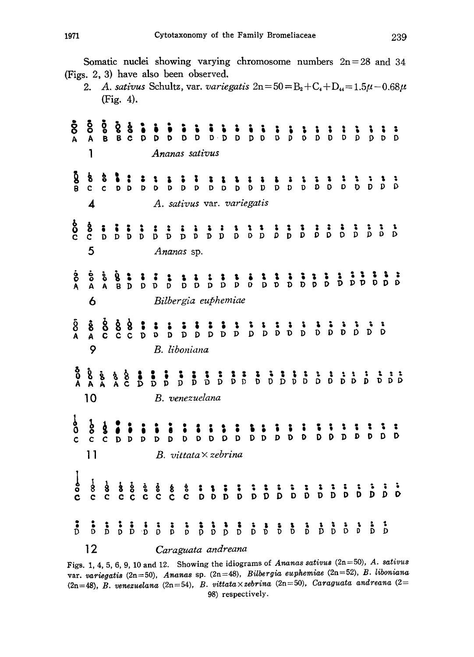Somatic nuclei showing varying chromosome numbers  $2n=28$  and 34 (Figs. 2, 3) have also been observed.

<sup>2.</sup> A. sativus Schultz, var. variegatis  $2n=50=B_2+C_4+D_{44}=1.5\mu-0.68\mu$ (Fig. 4).

| $\mathbf{\mathring{8}}$<br>A              | Ō<br>A<br>1                                                                                           | oo a          |                   |                                                                                       |               |                                                                                                                                                                                                                                                                                                                                                                                                                                                       | Ananas sativus |  |  |                                |  |  |  |  |  |  |
|-------------------------------------------|-------------------------------------------------------------------------------------------------------|---------------|-------------------|---------------------------------------------------------------------------------------|---------------|-------------------------------------------------------------------------------------------------------------------------------------------------------------------------------------------------------------------------------------------------------------------------------------------------------------------------------------------------------------------------------------------------------------------------------------------------------|----------------|--|--|--------------------------------|--|--|--|--|--|--|
| ပြီ<br>မ                                  | $\frac{1}{\delta}$<br>$\overline{\mathbf{A}}$                                                         | $\frac{1}{2}$ |                   |                                                                                       |               |                                                                                                                                                                                                                                                                                                                                                                                                                                                       |                |  |  | A. sativus var. variegatis     |  |  |  |  |  |  |
| စ္ပ်                                      | စ္စီ<br>5                                                                                             |               |                   |                                                                                       |               |                                                                                                                                                                                                                                                                                                                                                                                                                                                       | Ananas sp.     |  |  |                                |  |  |  |  |  |  |
| $\frac{6}{A}$                             | $\frac{6}{4}$<br>6                                                                                    | စ်<br>A       |                   |                                                                                       |               |                                                                                                                                                                                                                                                                                                                                                                                                                                                       |                |  |  | Bilbergia euphemiae            |  |  |  |  |  |  |
| $\mathop{\delta}\limits^{5}_{\mathsf{A}}$ | និ<br>A<br>9                                                                                          | င်<br>ဝ       |                   | $\begin{array}{c} 88 \\ c \end{array}$                                                | $\frac{1}{D}$ |                                                                                                                                                                                                                                                                                                                                                                                                                                                       | B. liboniana   |  |  |                                |  |  |  |  |  |  |
|                                           | $\begin{array}{ccc}\n\delta & \delta & \delta \\ 0 & \delta & \delta \\ A & A & A\n\end{array}$<br>10 |               | $\delta$ $\delta$ |                                                                                       |               |                                                                                                                                                                                                                                                                                                                                                                                                                                                       | B. venezuelana |  |  |                                |  |  |  |  |  |  |
| စိ<br>$\mathbf c$                         | ģ<br>$\tilde{c}$<br>11                                                                                | ģ             | CDD               |                                                                                       | D             | $\mathbf{D}$                                                                                                                                                                                                                                                                                                                                                                                                                                          |                |  |  | $B. \; vittata \times zebrina$ |  |  |  |  |  |  |
| $rac{1}{\circ}$                           | $\frac{1}{8}$                                                                                         | $\frac{1}{2}$ |                   | $\begin{array}{c} \frac{1}{6} & \frac{1}{6} \\ \frac{1}{6} & \frac{1}{6} \end{array}$ |               | $\begin{array}{ccccccccccccccccccccccccccccccccccccccccccccc} \texttt{a} & \texttt{a} & \texttt{b} & \texttt{c} & \texttt{c} & \texttt{c} & \texttt{c} & \texttt{c} & \texttt{c} & \texttt{c} & \texttt{c} & \texttt{c} & \texttt{c} & \texttt{c} & \texttt{c} & \texttt{c} & \texttt{c} & \texttt{c} & \texttt{c} & \texttt{c} & \texttt{c} & \texttt{c} & \texttt{c} & \texttt{c} & \texttt{c} & \texttt{c} & \texttt{c} & \texttt{c} & \texttt{c}$ |                |  |  |                                |  |  |  |  |  |  |
| $\ddot{\delta}$                           | 12                                                                                                    |               |                   |                                                                                       |               |                                                                                                                                                                                                                                                                                                                                                                                                                                                       |                |  |  | Caraguata andreana             |  |  |  |  |  |  |

Figs. 1, 4, 5, 6, 9, 10 and 12. Showing the idiograms of Ananas sativus  $(2n=50)$ , A. sativus var. variegatis (2n=50), Ananas sp. (2n=48), Bilbergia euphemiae (2n=52), B. liboniana (2n=48), B. venezuelana (2n=54), B. vittata $\times$ zebrina (2n=50), Caraguata andreana (2= 98) respectively.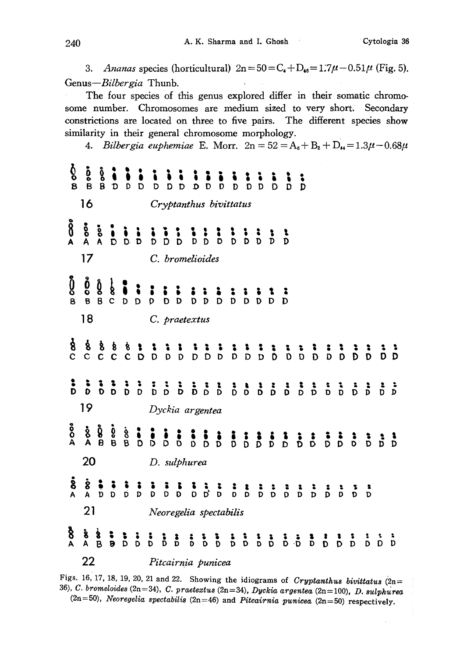3. Ananas species (horticultural)  $2n=50=C_4+D_{46}=1.7\mu-0.51\mu$  (Fig. 5). Genus-Bilbergia Thunb.

The four species of this genus explored differ in their somatic chromosome number. Chromosomes are medium sized to very short. Secondary constrictions are located on three to five pairs. The different species show similarity in their general chromosome morphology.

4. Bilbergia euphemiae E. Morr.  $2n = 52 = A_6 + B_2 + D_4 = 1.3\mu - 0.68\mu$ 

| ბо<br>в        | $\frac{5}{8}$          | о<br>В                                                                        | D                               |                                                       |                        | D                | $\overline{D}$ | D                  | $\tilde{\mathbf{o}}$ | Ď | Ď | Ď |  | $\overline{D}$ $\overline{D}$ | $\overline{D}$ |  |  |  |  |  |               |  |                               |           |
|----------------|------------------------|-------------------------------------------------------------------------------|---------------------------------|-------------------------------------------------------|------------------------|------------------|----------------|--------------------|----------------------|---|---|---|--|-------------------------------|----------------|--|--|--|--|--|---------------|--|-------------------------------|-----------|
| 16             |                        |                                                                               |                                 |                                                       | Cryptanthus bivittatus |                  |                |                    |                      |   |   |   |  |                               |                |  |  |  |  |  |               |  |                               |           |
| $\delta$       | ood<br>A<br>17         | oo*                                                                           |                                 | $\begin{array}{c} 0 & 0 & 0 \\ D & D & D \end{array}$ |                        | $\sum_{i=1}^{n}$ |                | C. bromelioides    |                      |   |   |   |  |                               |                |  |  |  |  |  |               |  |                               |           |
| ິງ<br>ອ        | å<br>$\overline{B}$    | ģ<br>$\mathbf{B}$                                                             | $\frac{1}{8}$<br>c <sub>b</sub> |                                                       | D                      | D                |                |                    |                      |   |   |   |  |                               |                |  |  |  |  |  |               |  |                               |           |
|                | 18                     |                                                                               |                                 |                                                       |                        |                  |                | C. praetextus      |                      |   |   |   |  |                               |                |  |  |  |  |  |               |  |                               |           |
| $\frac{8}{3}$  | $\frac{8}{c}$          | ģ                                                                             |                                 |                                                       |                        |                  |                |                    |                      |   |   |   |  |                               |                |  |  |  |  |  |               |  |                               |           |
|                |                        |                                                                               |                                 |                                                       |                        |                  |                |                    |                      |   |   |   |  |                               |                |  |  |  |  |  |               |  |                               |           |
| 19             |                        |                                                                               |                                 |                                                       |                        | Dyckia argentea  |                |                    |                      |   |   |   |  |                               |                |  |  |  |  |  |               |  |                               |           |
| oo<br>A        |                        | $\mathop{\otimes}\limits^{\bullet}_{A} \mathop{\otimes}\limits^{\bullet}_{B}$ | $\frac{5}{8}$                   | io<br>B                                               | $\ddot{\phantom{0}}$   |                  |                |                    |                      |   |   |   |  |                               |                |  |  |  |  |  |               |  |                               |           |
|                | 20                     |                                                                               |                                 |                                                       |                        | D. sulphurea     |                |                    |                      |   |   |   |  |                               |                |  |  |  |  |  |               |  |                               |           |
| $\dot{\delta}$ | $\ddot{\text{8}}$<br>A |                                                                               |                                 |                                                       |                        |                  |                |                    |                      |   |   |   |  |                               |                |  |  |  |  |  |               |  |                               |           |
| 21             |                        |                                                                               |                                 |                                                       | Neoregelia spectabilis |                  |                |                    |                      |   |   |   |  |                               |                |  |  |  |  |  |               |  |                               |           |
| $\frac{8}{4}$  | និ<br>A                | $\frac{8}{B}$                                                                 |                                 |                                                       |                        |                  |                |                    |                      |   |   |   |  |                               |                |  |  |  |  |  | $\frac{1}{D}$ |  | $\overline{D}$ $\overline{D}$ | $\dot{b}$ |
| 22             |                        |                                                                               |                                 |                                                       |                        |                  |                | Pitcairnia punicea |                      |   |   |   |  |                               |                |  |  |  |  |  |               |  |                               |           |

Figs. 16, 17, 18, 19, 20, 21 and 22. Showing the idiograms of Cryptanthus bivittatus  $\ddot{c}$ n= 36), C. bromeloides (2n=34), C. praetextus (2n=34), Dyckia argentea (2n=100), D. sulphur  $(2n=50)$ , Neoregelia spectabilis  $(2n=46)$  and Pitcairnia punicea  $(2n=50)$  respectively.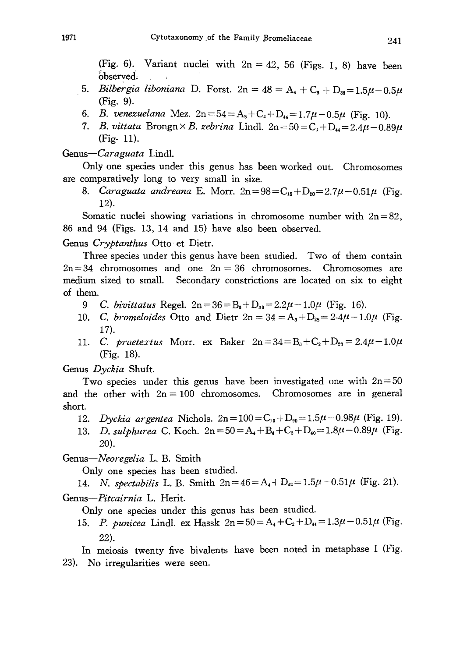(Fig. 6). Variant nuclei with  $2n=42$ , 56 (Figs. 1, 8) have been observed.

- 5. Bilbergia liboniana D. Forst.  $2n=48=A_4+C_6+D_{38}=1.5\mu-0.5\mu$ (Fig. 9).
- 6. B. venezuelana Mez.  $2n = 54 = A_s + C_2 + D_d = 1.7\mu 0.5\mu$  (Fig. 10).
- 7. B. vittata Brongn $\times$ B. zebrina Lindl. 2n=50=C<sub>3</sub>+D<sub>4</sub>=2.4 $\mu$ -0.89 $\mu$ (Fig- 11).

Genus-Caraguata Lindl.

Only one species under this genus has been worked out. Chromosomes are comparatively long to very small in size.

8. Caraguata andreana E. Morr.  $2n = 98 = C_{18} + D_{80} = 2.7\mu - 0.51\mu$  (Fig. 12).

Somatic nuclei showing variations in chromosome number with  $2n=82$ , 86 and 94 (Figs. 13, 14 and 15) have also been observed.

Genus Cryptanthus Otto et Dietr.

Three species under this genus have been studied. Two of them contain  $2n=34$  chromosomes and one  $2n=36$  chromosomes. Chromosomes are medium sized to small. Secondary constrictions are located on six to eight of them.

- 9 C. bivittatus Regel.  $2n = 36 = B_6 + D_{30} = 2.2\mu 1.0\mu$  (Fig. 16).
- 10. C. bromeloides Otto and Dietr  $2n=34=A_8+D_{28}=2.4\mu-1.0\mu$  (Fig. 17).
- 11. C. praetextus Morr. ex Baker  $2n = 34 = B_3 + C_2 + D_{28} = 2.4\mu 1.0\mu$ (Fig. 18).

Genus Dyckia Shuft.

Two species under this genus have been investigated one with  $2n=50$ and the other with  $2n=100$  chromosomes. Chromosomes are in general short.

- 12. Dyckia argentea Nichols.  $2n = 100 = C_{10} + D_{90} = 1.5\mu 0.98\mu$  (Fig. 19).
- 13. D. sulphurea C. Koch.  $2n = 50 = A_4 + B_4 + C_2 + D_{40} = 1.8\mu 0.89\mu$  (Fig. 20).

Genus-Neoregelia L. B. Smith

Only one species has been studied.

14. N. spectabilis L. B. Smith  $2n=46=A_4+D_{42}=1.5\mu-0.51\mu$  (Fig. 21). Genus-Pitcairnia L. Herit.

Only one species under this genus has been studied.

15. P. punicea Lindl. ex Hassk  $2n = 50 = A_4 + C_2 + D_4 = 1.3\mu - 0.51\mu$  (Fig. 22).

In meiosis twenty five bivalents have been noted in metaphase I (Fig. 23). No irregularities were seen.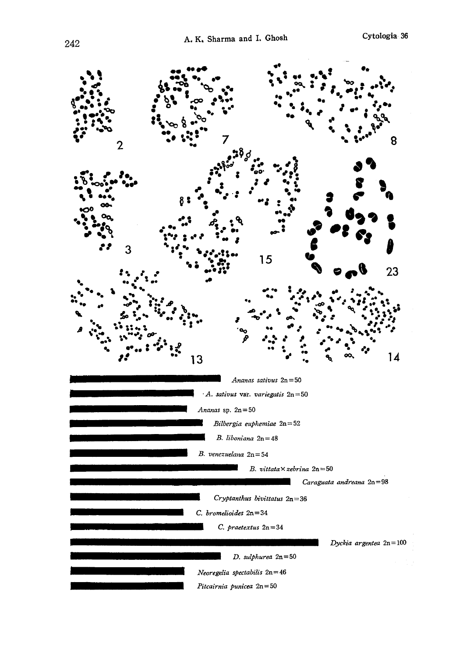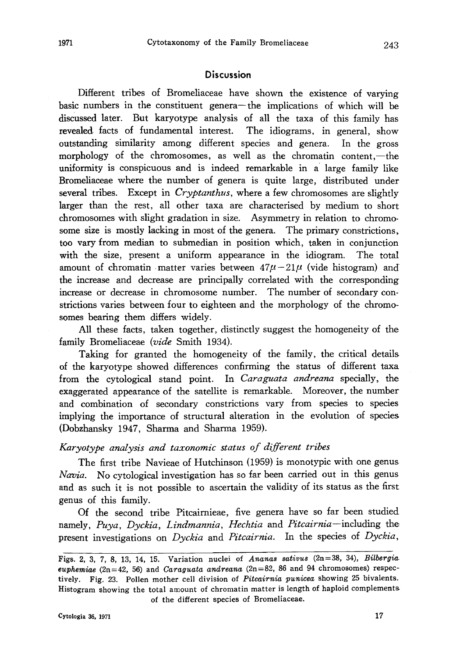## **Discussion**

Different tribes of Bromeliaceae have shown the existence of varying basic numbers in the constituent genera-the implications of which will be discussed later. But karyotype analysis of all the taxa of this family has revealed. facts of fundamental interest. The idiograms, in general, show outstanding similarity among different species and genera. In the gross morphology of the chromosomes, as well as the chromatin content,-the uniformity is conspicuous and is indeed remarkable in a large family like Bromeliaceae where the number of genera is quite large, distributed under several tribes. Except in *Cryptanthus*, where a few chromosomes are slightly larger than the rest, all other taxa are characterised by medium to short chromosomes with slight gradation in size. Asymmetry in relation to chromo some size is mostly lacking in most of the genera. The primary constrictions, too vary from median to submedian in position which, taken in conjunction with the size, present a uniform appearance in the idiogram. The total amount of chromatin matter varies between  $47\mu - 21\mu$  (vide histogram) and the increase and decrease are principally correlated with the corresponding increase or decrease in chromosome number. The number of secondary con strictions varies between four to eighteen and the morphology of the chromo somes bearing them differs widely.

All these facts, taken together, distinctly suggest the homogeneity of the family Bromeliaceae (vide Smith 1934).

Taking for granted the homogeneity of the family, the critical details of the karyotype showed differences confirming the status of different taxa from the cytological stand point. In *Caraguata andreana* specially, the exaggerated appearance of the satellite is remarkable. Moreover, the number and combination of secondary constrictions vary from species to species implying the importance of structural alteration in the evolution of species (Dobzhansky 1947, Sharma and Sharma 1959).

### Karyotype analysis and taxonomic status of different tribes

The first tribe Navieae of Hutchinson (1959) is monotypic with one genus Navia. No cytological investigation has so far been carried out in this genus and as such it is not possible to ascertain the validity of its status as the first genus of this family.

Of the second tribe Pitcairnieae, five genera have so far been studied namely, Puya, Dyckia, Lindmannia, Hechtia and Pitcairnia-including the present investigations on Dyckia and Pitcairnia. In the species of Dyckia,

Figs. 2, 3, 7, 8, 13, 14, 15. Variation nuclei of Ananas sativus (2n=38, 34), Bilbergia euphemiae  $(2n=42, 56)$  and Caraguata andreana  $(2n=82, 86$  and 94 chromosomes) respectively. Fig. 23. Pollen mother cell division of Pitcairnia punicea showing 25 bivalents. Histogram showing the total amount of chromatin matter is length of haploid complements of the different species of Bromeliaceae.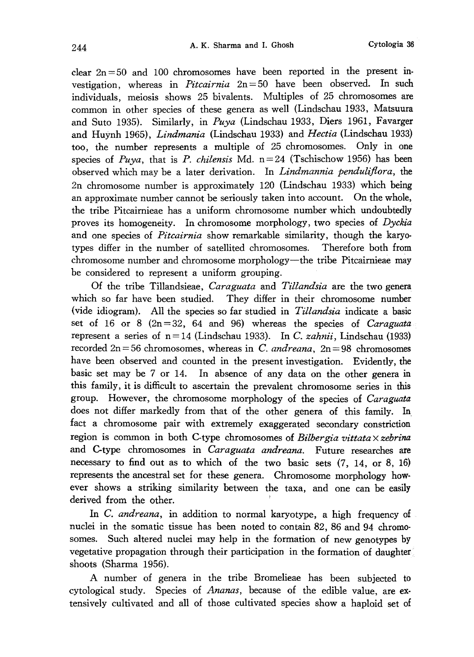clear  $2n=50$  and 100 chromosomes have been reported in the present investigation, whereas in *Pitcairnia*  $2n=50$  have been observed. In such individuals, meiosis shows 25 bivalents. Multiples of 25 chromosomes are common in other species of these genera as well (Lindschau 1933, Matsuura and Suto 1935). Similarly, in Puya (Lindschau 1933, Diers 1961, Favarger and Huynh 1965), Lindmania (Lindschau 1933) and Hectia (Lindschau 1933) too, the number represents a multiple of 25 chromosomes. Only in one species of Puya, that is P. chilensis Md.  $n=24$  (Tschischow 1956) has been observed which may be a later derivation. In Lindmannia penduliflora, the 2n chromosome number is approximately 120 (Lindschau 1933) which being an approximate number cannot be seriously taken into account. On the whole, the tribe Pitcairnieae has a uniform chromosome number which undoubtedly proves its homogeneity. In chromosome morphology, two species of Dyckia and one species of *Pitcairnia* show remarkable similarity, though the karyotypes differ in the number of satellited chromosomes. Therefore both from chromosome number and chromosome morphology-the tribe Pitcairnieae may be considered to represent a uniform grouping.

Of the tribe Tillandsieae, *Caraguata* and Tillandsia are the two genera which so far have been studied. They differ in their chromosome number (vide idiogram). All the species so far studied in Tillandsia indicate a basic set of 16 or 8  $(2n=32, 64, and 96)$  whereas the species of *Caraguata* represent a series of  $n=14$  (Lindschau 1933). In C. *zahnii*, Lindschau (1933) recorded  $2n=56$  chromosomes, whereas in C. andreana,  $2n=98$  chromosomes have been observed and counted in the present investigation. Evidently, the basic set may be 7 or 14. In absence of any data on the other genera in this family, it is difficult to ascertain the prevalent chromosome series in this group. However, the chromosome morphology of the species of Caraguata does not differ markedly from that of the other genera of this family. In fact a chromosome pair with extremely exaggerated secondary constriction region is common in both C-type chromosomes of Bilbergia vittata  $\times$  zebrina and C-type chromosomes in Caraguata andreana. Future researches are necessary to find out as to which of the two basic sets (7, 14, or 8, 16) represents the ancestral set for these genera. Chromosome morphology how ever shows a striking similarity between the taxa, and one can be easily derived from the other.

In C. andreana, in addition to normal karyotype, a high frequency of nuclei in the somatic tissue has been noted to contain 82, 86 and 94 chromosomes. Such altered nuclei may help in the formation of new genotypes by vegetative propagation through their participation in the formation of daughter shoots (Sharma 1956).

A number of genera in the tribe Bromelieae has been subjected to cytological study. Species of Ananas, because of the edible value, are ex tensively cultivated and all of those cultivated species show a haploid set of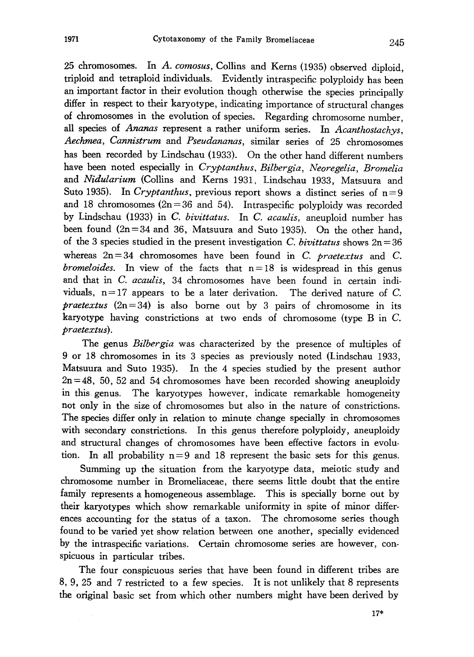25 chromosomes. In A. comosus, Collins and Kerns (1935) observed diploid, triploid and tetraploid individuals. Evidently intraspecific polyploidy has been an important factor in their evolution though otherwise the species principally differ in respect to their karyotype, indicating importance of structural changes of chromosomes in the evolution of species. Regarding chromosome number, all species of Ananas represent a rather uniform series. In Acanthostachys, Aechmea, Cannistrum and Pseudananas, similar series of 25 chromosomes has been recorded by Lindschau (1933). On the other hand different numbers have been noted especially in Cryptanthus, Bilbergia, Neoregelia, Bromelia and Nidularium (Collins and Kerns 1931, Lindschau 1933, Matsuura and Suto 1935). In Cryptanthus, previous report shows a distinct series of  $n=9$ and 18 chromosomes  $(2n=36$  and 54). Intraspecific polyploidy was recorded by Lindschau (1933) in C. bivittatus. In C. acaulis, aneuploid number has been found (2n=34 and 36, Matsuura and Suto 1935). On the other hand, of the 3 species studied in the present investigation C. bivittatus shows  $2n=36$ whereas  $2n=34$  chromosomes have been found in C. *praetextus* and C. *bromeloides*. In view of the facts that  $n=18$  is widespread in this genus and that in C. acaulis, 34 chromosomes have been found in certain individuals,  $n=17$  appears to be a later derivation. The derived nature of C. *praetextus*  $(2n=34)$  is also borne out by 3 pairs of chromosome in its karyotype having constrictions at two ends of chromosome (type B in C. praetextus).

The genus *Bilbergia* was characterized by the presence of multiples of 9 or 18 chromosomes in its 3 species as previously noted (Lindschau 1933, Matsuura and Suto 1935). In the 4 species studied by the present author  $2n=48$ , 50, 52 and 54 chromosomes have been recorded showing aneuploidy in this genus. The karyotypes however, indicate remarkable homogeneity not only in the size of chromosomes but also in the nature of constrictions. The species differ only in relation to minute change specially in chromosomes with secondary constrictions. In this genus therefore polyploidy, aneuploidy and structural changes of chromosomes have been effective factors in evolu tion. In all probability  $n=9$  and 18 represent the basic sets for this genus.

Summing up the situation from the karyotype data, meiotic study and chromosome number in Bromeliaceae, there seems little doubt that the entire family represents a homogeneous assemblage. This is specially borne out by their karyotypes which show remarkable uniformity in spite of minor differ ences accounting for the status of a taxon. The chromosome series though found to be varied yet show relation between one another, specially evidenced by the intraspecific variations. Certain chromosome series are however, con spicuous in particular tribes.

The four conspicuous series that have been found in different tribes are 8, 9, 25 and 7 restricted to a few species. It is not unlikely that 8 represents the original basic set from which other numbers might have been derived by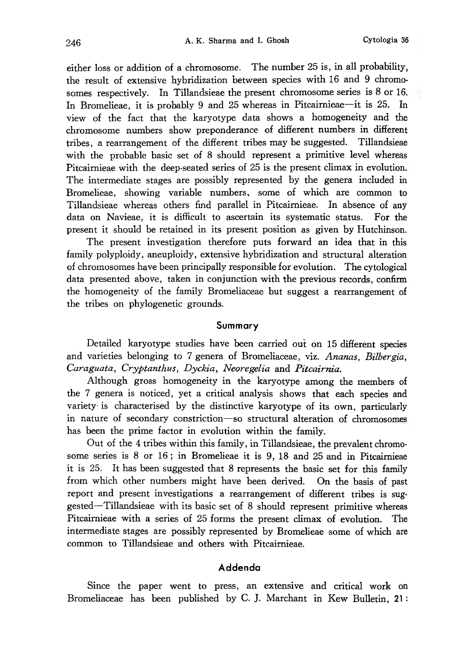either loss or addition of a chromosome. The number 25 is, in all probability, the result of extensive hybridization between species with 16 and 9 chromo somes respectively. In Tillandsieae the present chromosome series is 8 or 16. In Bromelieae, it is probably 9 and 25 whereas in Pitcairnieae—it is 25. In view of the fact that the karyotype data shows a homogeneity and the chromosome numbers show preponderance of different numbers in different tribes, a rearrangement of the different tribes may be suggested. Tillandsieae with the probable basic set of 8 should represent a primitive level whereas Pitcairnieae with the deep-seated series of 25 is the present climax in evolution. The intermediate stages are possibly represented by the genera included in Bromelieae, showing variable numbers, some of which are common to Tillandsieae whereas others find parallel in Pitcairnieae. In absence of any data on Navieae, it is difficult to ascertain its systematic status. For the present it should be retained in its present position as given by Hutchinson.

The present investigation therefore puts forward an idea that in this family polyploidy, aneuploidy, extensive hybridization and structural alteration of chromosomes have been principally responsible for evolution. The cytological data presented above, taken in conjunction with the previous records, confirm the homogeneity of the family Bromeliaceae but suggest a rearrangement of the tribes on phylogenetic grounds.

#### Summary

Detailed karyotype studies have been carried out on 15 different species and varieties belonging to 7 genera of Bromeliaceae, viz. Ananas, Bilbergia, Caraguata, Cryptanthus, Dyckia, Neoregelia and Pitcairnia.

Although gross homogeneity in the karyotype among the members of the 7 genera is noticed, yet a critical analysis shows that each species and variety is characterised by the distinctive karyotype of its own, particularly in nature of secondary constriction-so structural alteration of chromosomes has been the prime factor in evolution within the family.

Out of the 4 tribes within this family, in Tillandsieae, the prevalent chromo some series is 8 or 16; in Bromelieae it is 9, 18 and 25 and in Pitcairnieae it is 25. It has been suggested that 8 represents the basic set for this family from which other numbers might have been derived. On the basis of past report and present investigations a rearrangement of different tribes is sug gested-Tillandsieae with its basic set of 8 should represent primitive whereas Pitcairnieae with a series of 25 forms the present climax of evolution. The intermediate stages are possibly represented by Bromelieae some of which are common to Tillandsieae and others with Pitcairnieae.

### Addenda

Since the paper went to press, an extensive and critical work on Bromeliaceae has been published by C. J. Marchant in Kew Bulletin, 21: